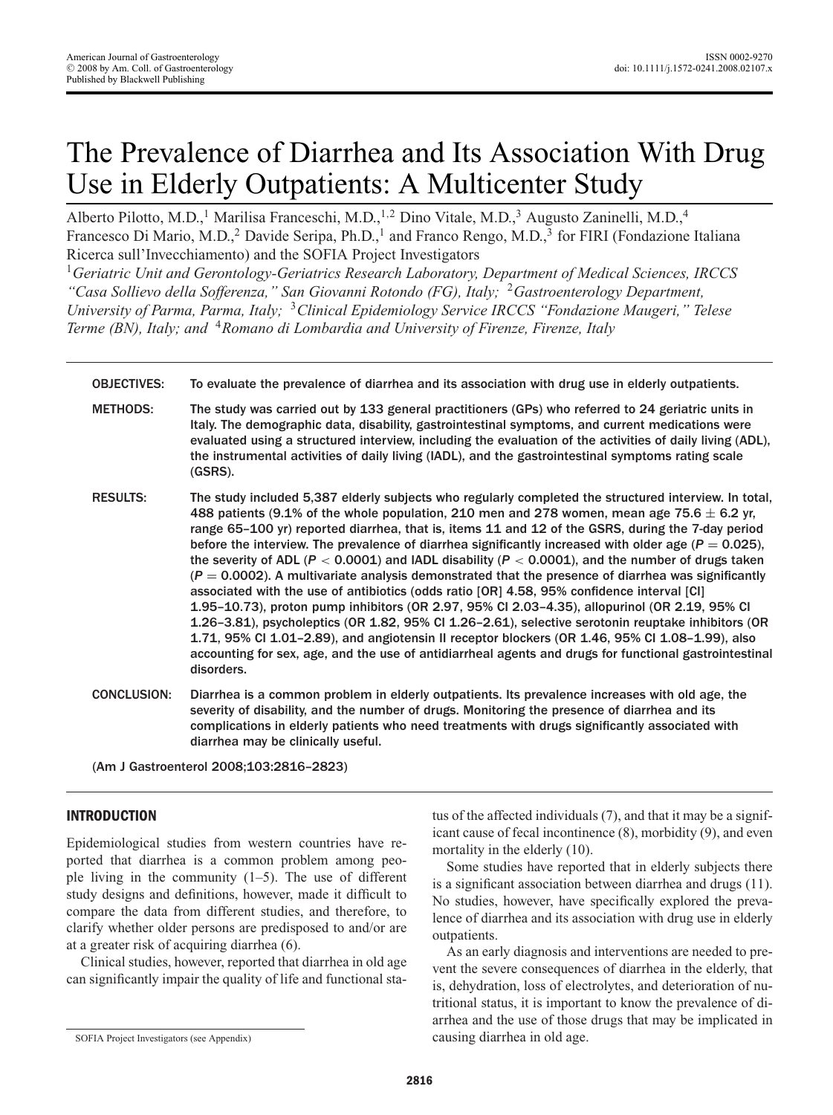# The Prevalence of Diarrhea and Its Association With Drug Use in Elderly Outpatients: A Multicenter Study

Alberto Pilotto, M.D.,<sup>1</sup> Marilisa Franceschi, M.D.,<sup>1,2</sup> Dino Vitale, M.D.,<sup>3</sup> Augusto Zaninelli, M.D.,<sup>4</sup> Francesco Di Mario, M.D.,<sup>2</sup> Davide Seripa, Ph.D.,<sup>1</sup> and Franco Rengo, M.D.,<sup>3</sup> for FIRI (Fondazione Italiana Ricerca sull'Invecchiamento) and the SOFIA Project Investigators

<sup>1</sup>*Geriatric Unit and Gerontology-Geriatrics Research Laboratory, Department of Medical Sciences, IRCCS "Casa Sollievo della Sofferenza," San Giovanni Rotondo (FG), Italy;* <sup>2</sup>*Gastroenterology Department, University of Parma, Parma, Italy;* <sup>3</sup>*Clinical Epidemiology Service IRCCS "Fondazione Maugeri," Telese Terme (BN), Italy; and* <sup>4</sup>*Romano di Lombardia and University of Firenze, Firenze, Italy*

OBJECTIVES: To evaluate the prevalence of diarrhea and its association with drug use in elderly outpatients.

- METHODS: The study was carried out by 133 general practitioners (GPs) who referred to 24 geriatric units in Italy. The demographic data, disability, gastrointestinal symptoms, and current medications were evaluated using a structured interview, including the evaluation of the activities of daily living (ADL), the instrumental activities of daily living (IADL), and the gastrointestinal symptoms rating scale (GSRS).
- RESULTS: The study included 5,387 elderly subjects who regularly completed the structured interview. In total, 488 patients (9.1% of the whole population, 210 men and 278 women, mean age 75.6  $\pm$  6.2 yr, range 65–100 yr) reported diarrhea, that is, items 11 and 12 of the GSRS, during the 7-day period before the interview. The prevalence of diarrhea significantly increased with older age  $(P = 0.025)$ , the severity of ADL (*P* < 0.0001) and IADL disability (*P* < 0.0001), and the number of drugs taken  $(P = 0.0002)$ . A multivariate analysis demonstrated that the presence of diarrhea was significantly associated with the use of antibiotics (odds ratio [OR] 4.58, 95% confidence interval [CI] 1.95–10.73), proton pump inhibitors (OR 2.97, 95% CI 2.03–4.35), allopurinol (OR 2.19, 95% CI 1.26–3.81), psycholeptics (OR 1.82, 95% CI 1.26–2.61), selective serotonin reuptake inhibitors (OR 1.71, 95% CI 1.01–2.89), and angiotensin II receptor blockers (OR 1.46, 95% CI 1.08–1.99), also accounting for sex, age, and the use of antidiarrheal agents and drugs for functional gastrointestinal disorders.
- CONCLUSION: Diarrhea is a common problem in elderly outpatients. Its prevalence increases with old age, the severity of disability, and the number of drugs. Monitoring the presence of diarrhea and its complications in elderly patients who need treatments with drugs significantly associated with diarrhea may be clinically useful.

(Am J Gastroenterol 2008;103:2816–2823)

# **INTRODUCTION**

Epidemiological studies from western countries have reported that diarrhea is a common problem among people living in the community  $(1-5)$ . The use of different study designs and definitions, however, made it difficult to compare the data from different studies, and therefore, to clarify whether older persons are predisposed to and/or are at a greater risk of acquiring diarrhea (6).

Clinical studies, however, reported that diarrhea in old age can significantly impair the quality of life and functional status of the affected individuals (7), and that it may be a significant cause of fecal incontinence (8), morbidity (9), and even mortality in the elderly (10).

Some studies have reported that in elderly subjects there is a significant association between diarrhea and drugs (11). No studies, however, have specifically explored the prevalence of diarrhea and its association with drug use in elderly outpatients.

As an early diagnosis and interventions are needed to prevent the severe consequences of diarrhea in the elderly, that is, dehydration, loss of electrolytes, and deterioration of nutritional status, it is important to know the prevalence of diarrhea and the use of those drugs that may be implicated in causing diarrhea in old age.

SOFIA Project Investigators (see Appendix)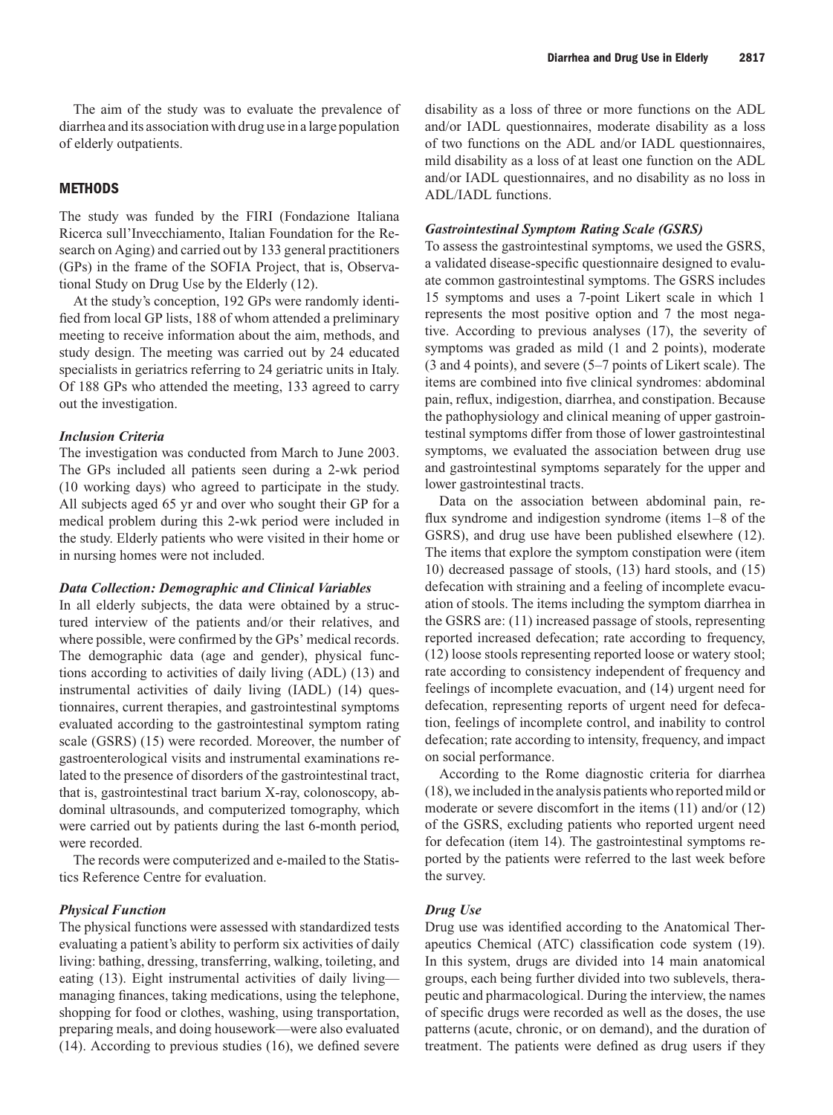The aim of the study was to evaluate the prevalence of diarrhea and its association with drug use in a large population of elderly outpatients.

## **METHODS**

The study was funded by the FIRI (Fondazione Italiana Ricerca sull'Invecchiamento, Italian Foundation for the Research on Aging) and carried out by 133 general practitioners (GPs) in the frame of the SOFIA Project, that is, Observational Study on Drug Use by the Elderly (12).

At the study's conception, 192 GPs were randomly identified from local GP lists, 188 of whom attended a preliminary meeting to receive information about the aim, methods, and study design. The meeting was carried out by 24 educated specialists in geriatrics referring to 24 geriatric units in Italy. Of 188 GPs who attended the meeting, 133 agreed to carry out the investigation.

## *Inclusion Criteria*

The investigation was conducted from March to June 2003. The GPs included all patients seen during a 2-wk period (10 working days) who agreed to participate in the study. All subjects aged 65 yr and over who sought their GP for a medical problem during this 2-wk period were included in the study. Elderly patients who were visited in their home or in nursing homes were not included.

#### *Data Collection: Demographic and Clinical Variables*

In all elderly subjects, the data were obtained by a structured interview of the patients and/or their relatives, and where possible, were confirmed by the GPs' medical records. The demographic data (age and gender), physical functions according to activities of daily living (ADL) (13) and instrumental activities of daily living (IADL) (14) questionnaires, current therapies, and gastrointestinal symptoms evaluated according to the gastrointestinal symptom rating scale (GSRS) (15) were recorded. Moreover, the number of gastroenterological visits and instrumental examinations related to the presence of disorders of the gastrointestinal tract, that is, gastrointestinal tract barium X-ray, colonoscopy, abdominal ultrasounds, and computerized tomography, which were carried out by patients during the last 6-month period, were recorded.

The records were computerized and e-mailed to the Statistics Reference Centre for evaluation.

#### *Physical Function*

The physical functions were assessed with standardized tests evaluating a patient's ability to perform six activities of daily living: bathing, dressing, transferring, walking, toileting, and eating (13). Eight instrumental activities of daily living managing finances, taking medications, using the telephone, shopping for food or clothes, washing, using transportation, preparing meals, and doing housework—were also evaluated (14). According to previous studies (16), we defined severe disability as a loss of three or more functions on the ADL and/or IADL questionnaires, moderate disability as a loss of two functions on the ADL and/or IADL questionnaires, mild disability as a loss of at least one function on the ADL and/or IADL questionnaires, and no disability as no loss in ADL/IADL functions.

#### *Gastrointestinal Symptom Rating Scale (GSRS)*

To assess the gastrointestinal symptoms, we used the GSRS, a validated disease-specific questionnaire designed to evaluate common gastrointestinal symptoms. The GSRS includes 15 symptoms and uses a 7-point Likert scale in which 1 represents the most positive option and 7 the most negative. According to previous analyses (17), the severity of symptoms was graded as mild (1 and 2 points), moderate (3 and 4 points), and severe (5–7 points of Likert scale). The items are combined into five clinical syndromes: abdominal pain, reflux, indigestion, diarrhea, and constipation. Because the pathophysiology and clinical meaning of upper gastrointestinal symptoms differ from those of lower gastrointestinal symptoms, we evaluated the association between drug use and gastrointestinal symptoms separately for the upper and lower gastrointestinal tracts.

Data on the association between abdominal pain, reflux syndrome and indigestion syndrome (items 1–8 of the GSRS), and drug use have been published elsewhere (12). The items that explore the symptom constipation were (item 10) decreased passage of stools, (13) hard stools, and (15) defecation with straining and a feeling of incomplete evacuation of stools. The items including the symptom diarrhea in the GSRS are: (11) increased passage of stools, representing reported increased defecation; rate according to frequency, (12) loose stools representing reported loose or watery stool; rate according to consistency independent of frequency and feelings of incomplete evacuation, and (14) urgent need for defecation, representing reports of urgent need for defecation, feelings of incomplete control, and inability to control defecation; rate according to intensity, frequency, and impact on social performance.

According to the Rome diagnostic criteria for diarrhea (18), we included in the analysis patients who reported mild or moderate or severe discomfort in the items (11) and/or (12) of the GSRS, excluding patients who reported urgent need for defecation (item 14). The gastrointestinal symptoms reported by the patients were referred to the last week before the survey.

### *Drug Use*

Drug use was identified according to the Anatomical Therapeutics Chemical (ATC) classification code system (19). In this system, drugs are divided into 14 main anatomical groups, each being further divided into two sublevels, therapeutic and pharmacological. During the interview, the names of specific drugs were recorded as well as the doses, the use patterns (acute, chronic, or on demand), and the duration of treatment. The patients were defined as drug users if they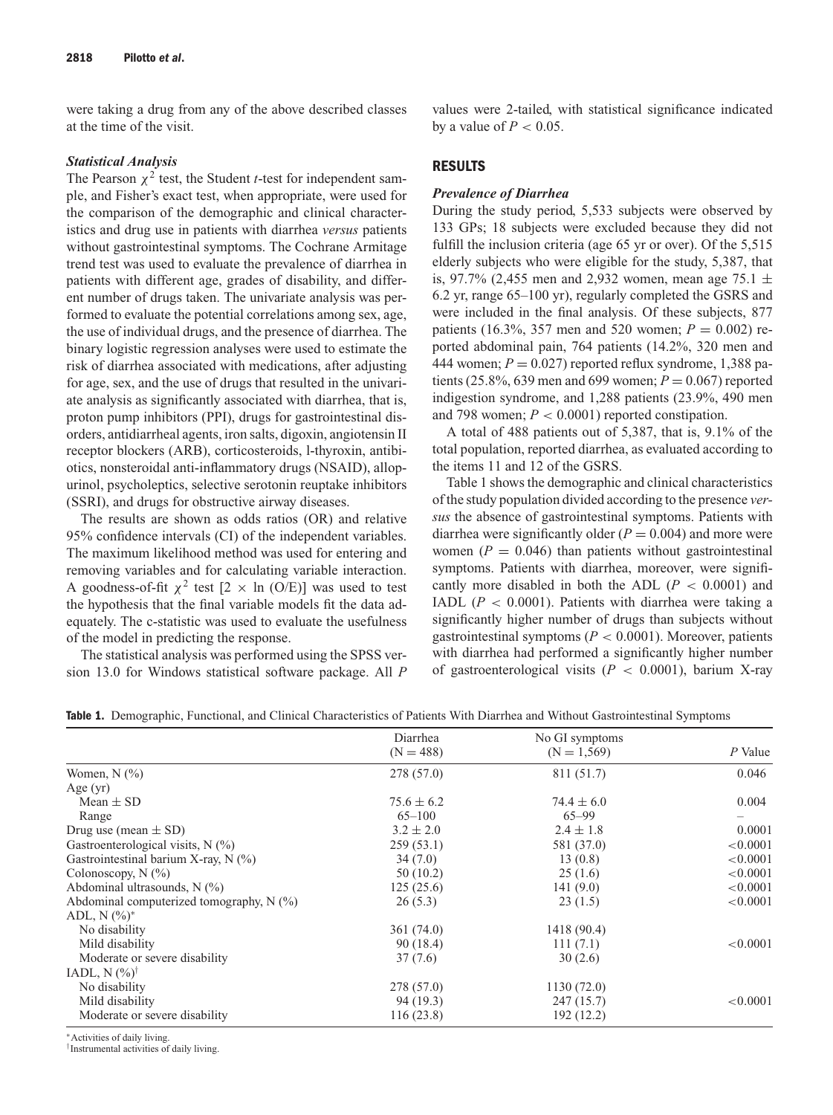were taking a drug from any of the above described classes at the time of the visit.

#### *Statistical Analysis*

The Pearson  $\chi^2$  test, the Student *t*-test for independent sample, and Fisher's exact test, when appropriate, were used for the comparison of the demographic and clinical characteristics and drug use in patients with diarrhea *versus* patients without gastrointestinal symptoms. The Cochrane Armitage trend test was used to evaluate the prevalence of diarrhea in patients with different age, grades of disability, and different number of drugs taken. The univariate analysis was performed to evaluate the potential correlations among sex, age, the use of individual drugs, and the presence of diarrhea. The binary logistic regression analyses were used to estimate the risk of diarrhea associated with medications, after adjusting for age, sex, and the use of drugs that resulted in the univariate analysis as significantly associated with diarrhea, that is, proton pump inhibitors (PPI), drugs for gastrointestinal disorders, antidiarrheal agents, iron salts, digoxin, angiotensin II receptor blockers (ARB), corticosteroids, l-thyroxin, antibiotics, nonsteroidal anti-inflammatory drugs (NSAID), allopurinol, psycholeptics, selective serotonin reuptake inhibitors (SSRI), and drugs for obstructive airway diseases.

The results are shown as odds ratios (OR) and relative 95% confidence intervals (CI) of the independent variables. The maximum likelihood method was used for entering and removing variables and for calculating variable interaction. A goodness-of-fit  $\chi^2$  test [2 × ln (O/E)] was used to test the hypothesis that the final variable models fit the data adequately. The c-statistic was used to evaluate the usefulness of the model in predicting the response.

The statistical analysis was performed using the SPSS version 13.0 for Windows statistical software package. All *P* values were 2-tailed, with statistical significance indicated by a value of  $P < 0.05$ .

## **RESULTS**

#### *Prevalence of Diarrhea*

During the study period, 5,533 subjects were observed by 133 GPs; 18 subjects were excluded because they did not fulfill the inclusion criteria (age 65 yr or over). Of the 5,515 elderly subjects who were eligible for the study, 5,387, that is, 97.7% (2,455 men and 2,932 women, mean age 75.1  $\pm$ 6.2 yr, range 65–100 yr), regularly completed the GSRS and were included in the final analysis. Of these subjects, 877 patients (16.3%, 357 men and 520 women;  $P = 0.002$ ) reported abdominal pain, 764 patients (14.2%, 320 men and 444 women;  $P = 0.027$ ) reported reflux syndrome, 1,388 patients (25.8%, 639 men and 699 women;  $P = 0.067$ ) reported indigestion syndrome, and 1,288 patients (23.9%, 490 men and 798 women;  $P < 0.0001$ ) reported constipation.

A total of 488 patients out of 5,387, that is, 9.1% of the total population, reported diarrhea, as evaluated according to the items 11 and 12 of the GSRS.

Table 1 shows the demographic and clinical characteristics of the study population divided according to the presence *versus* the absence of gastrointestinal symptoms. Patients with diarrhea were significantly older  $(P = 0.004)$  and more were women  $(P = 0.046)$  than patients without gastrointestinal symptoms. Patients with diarrhea, moreover, were significantly more disabled in both the ADL  $(P < 0.0001)$  and IADL  $(P < 0.0001)$ . Patients with diarrhea were taking a significantly higher number of drugs than subjects without gastrointestinal symptoms ( $P < 0.0001$ ). Moreover, patients with diarrhea had performed a significantly higher number of gastroenterological visits (*P* < 0.0001), barium X-ray

|  |  |  |  |  |  | Table 1. Demographic, Functional, and Clinical Characteristics of Patients With Diarrhea and Without Gastrointestinal Symptoms |  |  |  |
|--|--|--|--|--|--|--------------------------------------------------------------------------------------------------------------------------------|--|--|--|
|--|--|--|--|--|--|--------------------------------------------------------------------------------------------------------------------------------|--|--|--|

|                                            | Diarrhea       | No GI symptoms |          |  |
|--------------------------------------------|----------------|----------------|----------|--|
|                                            | $(N = 488)$    | $(N = 1,569)$  | P Value  |  |
| Women, $N$ $(\%)$                          | 278 (57.0)     | 811 (51.7)     | 0.046    |  |
| Age $(yr)$                                 |                |                |          |  |
| Mean $\pm$ SD                              | $75.6 \pm 6.2$ | $74.4 \pm 6.0$ | 0.004    |  |
| Range                                      | $65 - 100$     | $65 - 99$      |          |  |
| Drug use (mean $\pm$ SD)                   | $3.2 \pm 2.0$  | $2.4 \pm 1.8$  | 0.0001   |  |
| Gastroenterological visits, $N$ (%)        | 259(53.1)      | 581 (37.0)     | < 0.0001 |  |
| Gastrointestinal barium X-ray, $N$ (%)     | 34(7.0)        | 13(0.8)        | < 0.0001 |  |
| Colonoscopy, $N(\%)$                       | 50(10.2)       | 25(1.6)        | < 0.0001 |  |
| Abdominal ultrasounds, N (%)               | 125(25.6)      | 141(9.0)       | < 0.0001 |  |
| Abdominal computerized tomography, $N$ (%) | 26(5.3)        | 23(1.5)        | < 0.0001 |  |
| ADL, $N$ $(\%)^*$                          |                |                |          |  |
| No disability                              | 361 (74.0)     | 1418 (90.4)    |          |  |
| Mild disability                            | 90 (18.4)      | 111(7.1)       | < 0.0001 |  |
| Moderate or severe disability              | 37(7.6)        | 30(2.6)        |          |  |
| IADL, N $(%)^{\dagger}$                    |                |                |          |  |
| No disability                              | 278 (57.0)     | 1130(72.0)     |          |  |
| Mild disability                            | 94 (19.3)      | 247 (15.7)     | < 0.0001 |  |
| Moderate or severe disability              | 116(23.8)      | 192 (12.2)     |          |  |

∗Activities of daily living.

†Instrumental activities of daily living.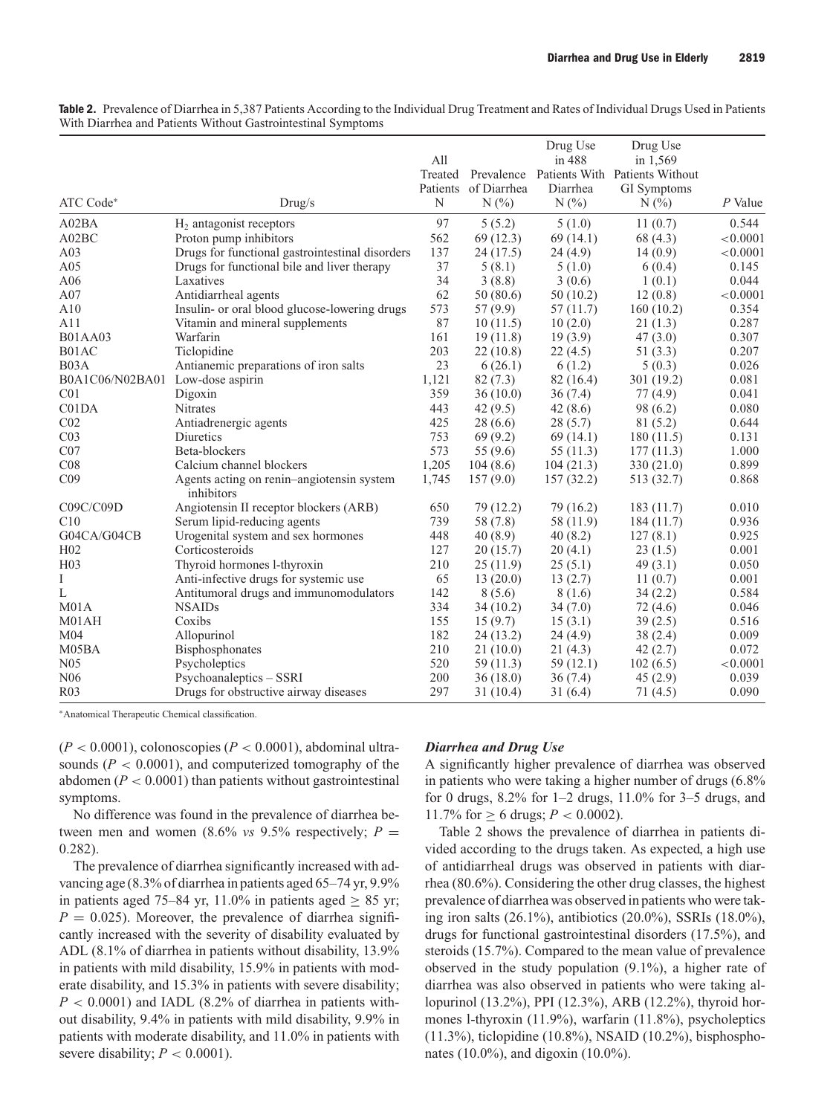|                  |                                                         | All     |                      | Drug Use<br>in 488 | Drug Use<br>in 1,569           |           |
|------------------|---------------------------------------------------------|---------|----------------------|--------------------|--------------------------------|-----------|
|                  |                                                         | Treated | Prevalence           |                    | Patients With Patients Without |           |
|                  |                                                         |         | Patients of Diarrhea | Diarrhea           | GI Symptoms                    |           |
| ATC Code*        | Drug/s                                                  | N       | $N(\%)$              | N(%                | $N(\%)$                        | $P$ Value |
| A02BA            | $H2$ antagonist receptors                               | 97      | 5(5.2)               | 5(1.0)             | 11(0.7)                        | 0.544     |
| A02BC            | Proton pump inhibitors                                  | 562     | 69(12.3)             | 69(14.1)           | 68 (4.3)                       | < 0.0001  |
| A03              | Drugs for functional gastrointestinal disorders         | 137     | 24 (17.5)            | 24(4.9)            | 14(0.9)                        | < 0.0001  |
| A05              | Drugs for functional bile and liver therapy             | 37      | 5(8.1)               | 5(1.0)             | 6(0.4)                         | 0.145     |
| A06              | Laxatives                                               | 34      | 3(8.8)               | 3(0.6)             | 1(0.1)                         | 0.044     |
| A07              | Antidiarrheal agents                                    | 62      | 50(80.6)             | 50(10.2)           | 12(0.8)                        | < 0.0001  |
| A10              | Insulin- or oral blood glucose-lowering drugs           | 573     | 57 (9.9)             | 57(11.7)           | 160(10.2)                      | 0.354     |
| A11              | Vitamin and mineral supplements                         | 87      | 10(11.5)             | 10(2.0)            | 21(1.3)                        | 0.287     |
| <b>B01AA03</b>   | Warfarin                                                | 161     | 19(11.8)             | 19(3.9)            | 47(3.0)                        | 0.307     |
| B01AC            | Ticlopidine                                             | 203     | 22(10.8)             | 22(4.5)            | 51(3.3)                        | 0.207     |
| B03A             | Antianemic preparations of iron salts                   | 23      | 6(26.1)              | 6(1.2)             | 5(0.3)                         | 0.026     |
| B0A1C06/N02BA01  | Low-dose aspirin                                        | 1,121   | 82 (7.3)             | 82 (16.4)          | 301(19.2)                      | 0.081     |
| C <sub>01</sub>  | Digoxin                                                 | 359     | 36(10.0)             | 36(7.4)            | 77 (4.9)                       | 0.041     |
| C01DA            | Nitrates                                                | 443     | 42(9.5)              | 42(8.6)            | 98(6.2)                        | 0.080     |
| CO <sub>2</sub>  | Antiadrenergic agents                                   | 425     | 28(6.6)              | 28(5.7)            | 81 (5.2)                       | 0.644     |
| CO <sub>3</sub>  | Diuretics                                               | 753     | 69(9.2)              | 69(14.1)           | 180(11.5)                      | 0.131     |
| CO7              | Beta-blockers                                           | 573     | 55 (9.6)             | 55(11.3)           | 177(11.3)                      | 1.000     |
| CO8              | Calcium channel blockers                                | 1,205   | 104(8.6)             | 104(21.3)          | 330(21.0)                      | 0.899     |
| C <sub>09</sub>  | Agents acting on renin-angiotensin system<br>inhibitors | 1,745   | 157(9.0)             | 157(32.2)          | 513 (32.7)                     | 0.868     |
| C09C/C09D        | Angiotensin II receptor blockers (ARB)                  | 650     | 79(12.2)             | 79(16.2)           | 183(11.7)                      | 0.010     |
| C10              | Serum lipid-reducing agents                             | 739     | 58 (7.8)             | 58 (11.9)          | 184(11.7)                      | 0.936     |
| G04CA/G04CB      | Urogenital system and sex hormones                      | 448     | 40(8.9)              | 40(8.2)            | 127(8.1)                       | 0.925     |
| H <sub>02</sub>  | Corticosteroids                                         | 127     | 20(15.7)             | 20(4.1)            | 23(1.5)                        | 0.001     |
| H03              | Thyroid hormones l-thyroxin                             | 210     | 25(11.9)             | 25(5.1)            | 49(3.1)                        | 0.050     |
| I                | Anti-infective drugs for systemic use                   | 65      | 13(20.0)             | 13(2.7)            | 11(0.7)                        | 0.001     |
| L                | Antitumoral drugs and immunomodulators                  | 142     | 8(5.6)               | 8(1.6)             | 34(2.2)                        | 0.584     |
| M01A             | <b>NSAIDs</b>                                           | 334     | 34(10.2)             | 34(7.0)            | 72 (4.6)                       | 0.046     |
| M01AH            | Coxibs                                                  | 155     | 15(9.7)              | 15(3.1)            | 39(2.5)                        | 0.516     |
| M04              | Allopurinol                                             | 182     | 24(13.2)             | 24(4.9)            | 38 (2.4)                       | 0.009     |
| M05BA            | Bisphosphonates                                         | 210     | 21(10.0)             | 21(4.3)            | 42(2.7)                        | 0.072     |
| N05              | Psycholeptics                                           | 520     | 59(11.3)             | 59 (12.1)          | 102(6.5)                       | < 0.0001  |
| N06              | Psychoanaleptics - SSRI                                 | 200     | 36(18.0)             | 36(7.4)            | 45(2.9)                        | 0.039     |
| R <sub>0</sub> 3 | Drugs for obstructive airway diseases                   | 297     | 31(10.4)             | 31(6.4)            | 71(4.5)                        | 0.090     |

**Table 2.** Prevalence of Diarrhea in 5,387 Patients According to the Individual Drug Treatment and Rates of Individual Drugs Used in Patients With Diarrhea and Patients Without Gastrointestinal Symptoms

∗Anatomical Therapeutic Chemical classification.

 $(P < 0.0001)$ , colonoscopies  $(P < 0.0001)$ , abdominal ultrasounds  $(P < 0.0001)$ , and computerized tomography of the abdomen ( $P < 0.0001$ ) than patients without gastrointestinal symptoms.

No difference was found in the prevalence of diarrhea between men and women  $(8.6\% \text{ vs } 9.5\% \text{ respectively}; P =$ 0.282).

The prevalence of diarrhea significantly increased with advancing age (8.3% of diarrhea in patients aged 65–74 yr, 9.9% in patients aged 75–84 yr, 11.0% in patients aged  $\geq 85$  yr;  $P = 0.025$ ). Moreover, the prevalence of diarrhea significantly increased with the severity of disability evaluated by ADL (8.1% of diarrhea in patients without disability, 13.9% in patients with mild disability, 15.9% in patients with moderate disability, and 15.3% in patients with severe disability;  $P < 0.0001$ ) and IADL (8.2% of diarrhea in patients without disability, 9.4% in patients with mild disability, 9.9% in patients with moderate disability, and 11.0% in patients with severe disability;  $P < 0.0001$ ).

#### *Diarrhea and Drug Use*

A significantly higher prevalence of diarrhea was observed in patients who were taking a higher number of drugs (6.8% for 0 drugs, 8.2% for 1–2 drugs, 11.0% for 3–5 drugs, and 11.7% for  $\geq 6$  drugs;  $P < 0.0002$ ).

Table 2 shows the prevalence of diarrhea in patients divided according to the drugs taken. As expected, a high use of antidiarrheal drugs was observed in patients with diarrhea (80.6%). Considering the other drug classes, the highest prevalence of diarrhea was observed in patients who were taking iron salts (26.1%), antibiotics (20.0%), SSRIs (18.0%), drugs for functional gastrointestinal disorders (17.5%), and steroids (15.7%). Compared to the mean value of prevalence observed in the study population (9.1%), a higher rate of diarrhea was also observed in patients who were taking allopurinol (13.2%), PPI (12.3%), ARB (12.2%), thyroid hormones l-thyroxin (11.9%), warfarin (11.8%), psycholeptics (11.3%), ticlopidine (10.8%), NSAID (10.2%), bisphosphonates (10.0%), and digoxin (10.0%).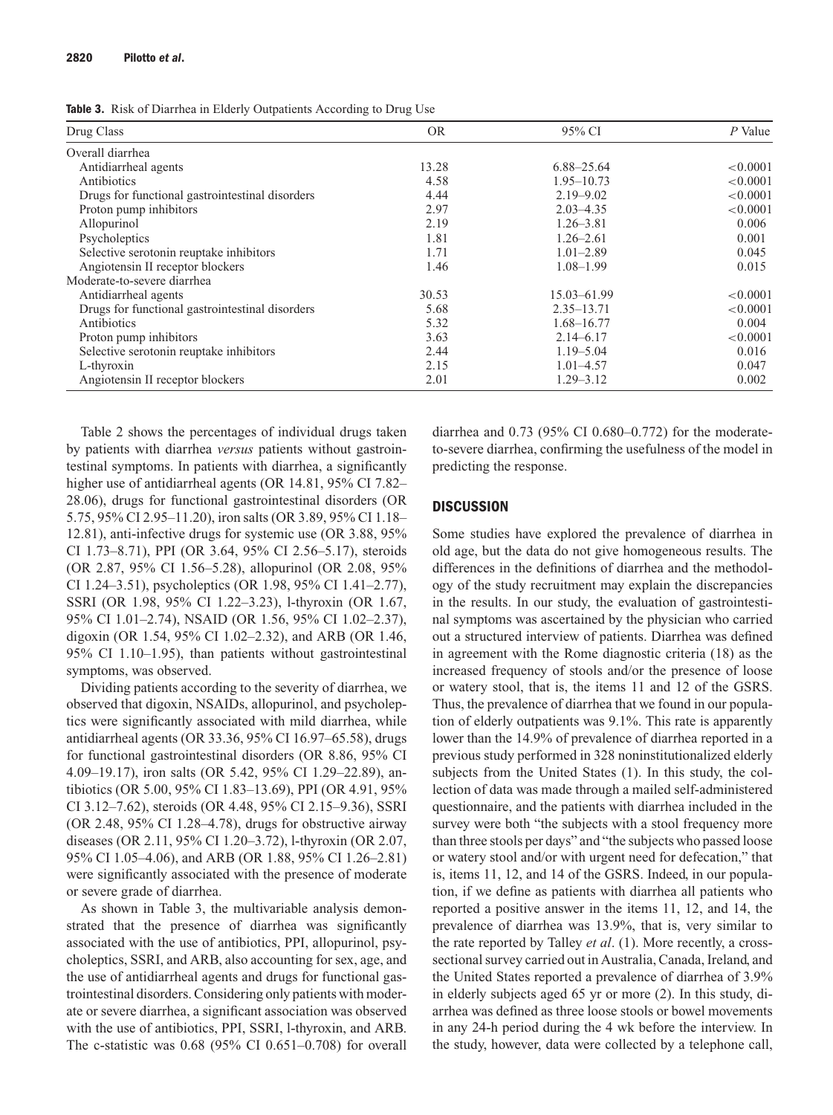#### **2820 Pilotto** *et al***.**

**Table 3.** Risk of Diarrhea in Elderly Outpatients According to Drug Use

| Drug Class                                      | OR.   | 95% CI         | P Value     |
|-------------------------------------------------|-------|----------------|-------------|
| Overall diarrhea                                |       |                |             |
| Antidiarrheal agents                            | 13.28 | $6.88 - 25.64$ | < 0.0001    |
| Antibiotics                                     | 4.58  | $1.95 - 10.73$ | < 0.0001    |
| Drugs for functional gastrointestinal disorders | 4.44  | $2.19 - 9.02$  | < 0.0001    |
| Proton pump inhibitors                          | 2.97  | $2.03 - 4.35$  | ${<}0.0001$ |
| Allopurinol                                     | 2.19  | $1.26 - 3.81$  | 0.006       |
| Psycholeptics                                   | 1.81  | $1.26 - 2.61$  | 0.001       |
| Selective serotonin reuptake inhibitors         | 1.71  | $1.01 - 2.89$  | 0.045       |
| Angiotensin II receptor blockers                | 1.46  | $1.08 - 1.99$  | 0.015       |
| Moderate-to-severe diarrhea                     |       |                |             |
| Antidiarrheal agents                            | 30.53 | 15.03-61.99    | < 0.0001    |
| Drugs for functional gastrointestinal disorders | 5.68  | $2.35 - 13.71$ | < 0.0001    |
| Antibiotics                                     | 5.32  | $1.68 - 16.77$ | 0.004       |
| Proton pump inhibitors                          | 3.63  | $2.14 - 6.17$  | < 0.0001    |
| Selective serotonin reuptake inhibitors         | 2.44  | $1.19 - 5.04$  | 0.016       |
| L-thyroxin                                      | 2.15  | $1.01 - 4.57$  | 0.047       |
| Angiotensin II receptor blockers                | 2.01  | $1.29 - 3.12$  | 0.002       |

Table 2 shows the percentages of individual drugs taken by patients with diarrhea *versus* patients without gastrointestinal symptoms. In patients with diarrhea, a significantly higher use of antidiarrheal agents (OR 14.81, 95% CI 7.82– 28.06), drugs for functional gastrointestinal disorders (OR 5.75, 95% CI 2.95–11.20), iron salts (OR 3.89, 95% CI 1.18– 12.81), anti-infective drugs for systemic use (OR 3.88, 95% CI 1.73–8.71), PPI (OR 3.64, 95% CI 2.56–5.17), steroids (OR 2.87, 95% CI 1.56–5.28), allopurinol (OR 2.08, 95% CI 1.24–3.51), psycholeptics (OR 1.98, 95% CI 1.41–2.77), SSRI (OR 1.98, 95% CI 1.22–3.23), l-thyroxin (OR 1.67, 95% CI 1.01–2.74), NSAID (OR 1.56, 95% CI 1.02–2.37), digoxin (OR 1.54, 95% CI 1.02–2.32), and ARB (OR 1.46, 95% CI 1.10–1.95), than patients without gastrointestinal symptoms, was observed.

Dividing patients according to the severity of diarrhea, we observed that digoxin, NSAIDs, allopurinol, and psycholeptics were significantly associated with mild diarrhea, while antidiarrheal agents (OR 33.36, 95% CI 16.97–65.58), drugs for functional gastrointestinal disorders (OR 8.86, 95% CI 4.09–19.17), iron salts (OR 5.42, 95% CI 1.29–22.89), antibiotics (OR 5.00, 95% CI 1.83–13.69), PPI (OR 4.91, 95% CI 3.12–7.62), steroids (OR 4.48, 95% CI 2.15–9.36), SSRI (OR 2.48, 95% CI 1.28–4.78), drugs for obstructive airway diseases (OR 2.11, 95% CI 1.20–3.72), l-thyroxin (OR 2.07, 95% CI 1.05–4.06), and ARB (OR 1.88, 95% CI 1.26–2.81) were significantly associated with the presence of moderate or severe grade of diarrhea.

As shown in Table 3, the multivariable analysis demonstrated that the presence of diarrhea was significantly associated with the use of antibiotics, PPI, allopurinol, psycholeptics, SSRI, and ARB, also accounting for sex, age, and the use of antidiarrheal agents and drugs for functional gastrointestinal disorders. Considering only patients with moderate or severe diarrhea, a significant association was observed with the use of antibiotics, PPI, SSRI, l-thyroxin, and ARB. The c-statistic was 0.68 (95% CI 0.651–0.708) for overall diarrhea and 0.73 (95% CI 0.680–0.772) for the moderateto-severe diarrhea, confirming the usefulness of the model in predicting the response.

# **DISCUSSION**

Some studies have explored the prevalence of diarrhea in old age, but the data do not give homogeneous results. The differences in the definitions of diarrhea and the methodology of the study recruitment may explain the discrepancies in the results. In our study, the evaluation of gastrointestinal symptoms was ascertained by the physician who carried out a structured interview of patients. Diarrhea was defined in agreement with the Rome diagnostic criteria (18) as the increased frequency of stools and/or the presence of loose or watery stool, that is, the items 11 and 12 of the GSRS. Thus, the prevalence of diarrhea that we found in our population of elderly outpatients was 9.1%. This rate is apparently lower than the 14.9% of prevalence of diarrhea reported in a previous study performed in 328 noninstitutionalized elderly subjects from the United States (1). In this study, the collection of data was made through a mailed self-administered questionnaire, and the patients with diarrhea included in the survey were both "the subjects with a stool frequency more than three stools per days" and "the subjects who passed loose or watery stool and/or with urgent need for defecation," that is, items 11, 12, and 14 of the GSRS. Indeed, in our population, if we define as patients with diarrhea all patients who reported a positive answer in the items 11, 12, and 14, the prevalence of diarrhea was 13.9%, that is, very similar to the rate reported by Talley *et al*. (1). More recently, a crosssectional survey carried out in Australia, Canada, Ireland, and the United States reported a prevalence of diarrhea of 3.9% in elderly subjects aged 65 yr or more (2). In this study, diarrhea was defined as three loose stools or bowel movements in any 24-h period during the 4 wk before the interview. In the study, however, data were collected by a telephone call,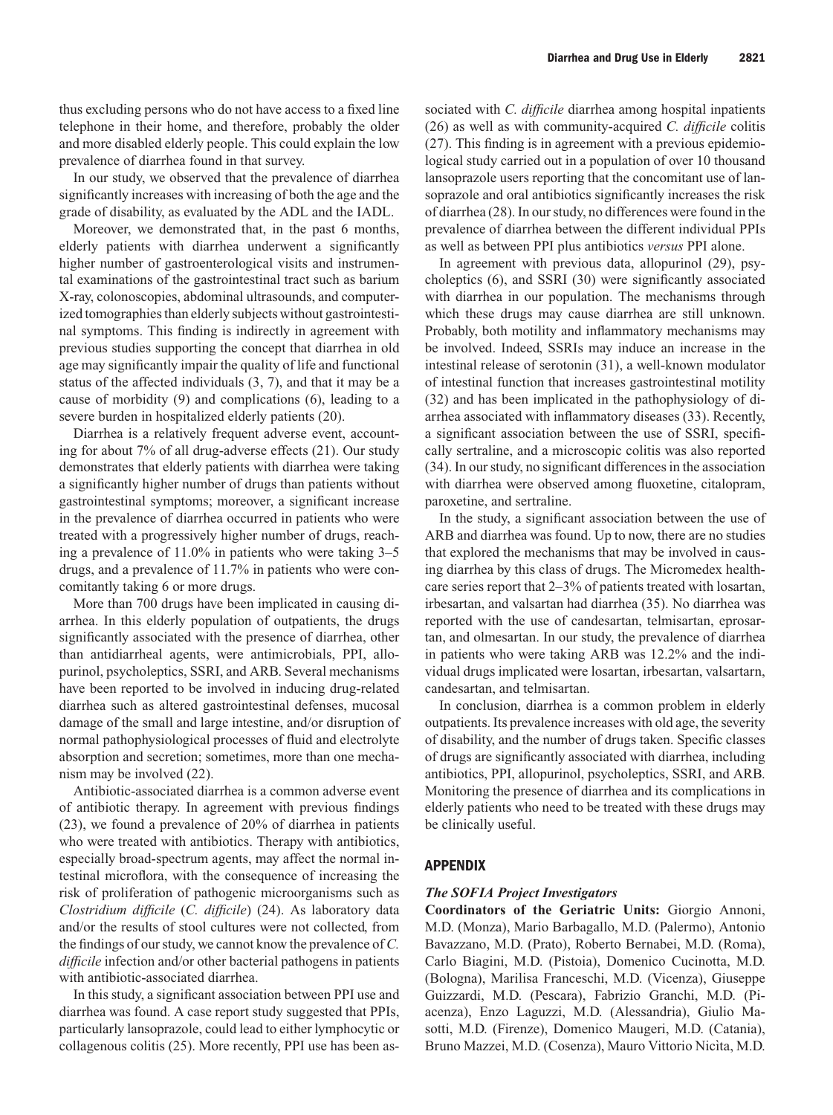thus excluding persons who do not have access to a fixed line telephone in their home, and therefore, probably the older and more disabled elderly people. This could explain the low prevalence of diarrhea found in that survey.

In our study, we observed that the prevalence of diarrhea significantly increases with increasing of both the age and the grade of disability, as evaluated by the ADL and the IADL.

Moreover, we demonstrated that, in the past 6 months, elderly patients with diarrhea underwent a significantly higher number of gastroenterological visits and instrumental examinations of the gastrointestinal tract such as barium X-ray, colonoscopies, abdominal ultrasounds, and computerized tomographies than elderly subjects without gastrointestinal symptoms. This finding is indirectly in agreement with previous studies supporting the concept that diarrhea in old age may significantly impair the quality of life and functional status of the affected individuals (3, 7), and that it may be a cause of morbidity (9) and complications (6), leading to a severe burden in hospitalized elderly patients (20).

Diarrhea is a relatively frequent adverse event, accounting for about 7% of all drug-adverse effects (21). Our study demonstrates that elderly patients with diarrhea were taking a significantly higher number of drugs than patients without gastrointestinal symptoms; moreover, a significant increase in the prevalence of diarrhea occurred in patients who were treated with a progressively higher number of drugs, reaching a prevalence of 11.0% in patients who were taking 3–5 drugs, and a prevalence of 11.7% in patients who were concomitantly taking 6 or more drugs.

More than 700 drugs have been implicated in causing diarrhea. In this elderly population of outpatients, the drugs significantly associated with the presence of diarrhea, other than antidiarrheal agents, were antimicrobials, PPI, allopurinol, psycholeptics, SSRI, and ARB. Several mechanisms have been reported to be involved in inducing drug-related diarrhea such as altered gastrointestinal defenses, mucosal damage of the small and large intestine, and/or disruption of normal pathophysiological processes of fluid and electrolyte absorption and secretion; sometimes, more than one mechanism may be involved (22).

Antibiotic-associated diarrhea is a common adverse event of antibiotic therapy. In agreement with previous findings (23), we found a prevalence of 20% of diarrhea in patients who were treated with antibiotics. Therapy with antibiotics, especially broad-spectrum agents, may affect the normal intestinal microflora, with the consequence of increasing the risk of proliferation of pathogenic microorganisms such as *Clostridium difficile* (*C. difficile*) (24). As laboratory data and/or the results of stool cultures were not collected, from the findings of our study, we cannot know the prevalence of*C. difficile* infection and/or other bacterial pathogens in patients with antibiotic-associated diarrhea.

In this study, a significant association between PPI use and diarrhea was found. A case report study suggested that PPIs, particularly lansoprazole, could lead to either lymphocytic or collagenous colitis (25). More recently, PPI use has been associated with *C. difficile* diarrhea among hospital inpatients (26) as well as with community-acquired *C. difficile* colitis (27). This finding is in agreement with a previous epidemiological study carried out in a population of over 10 thousand lansoprazole users reporting that the concomitant use of lansoprazole and oral antibiotics significantly increases the risk of diarrhea (28). In our study, no differences were found in the prevalence of diarrhea between the different individual PPIs as well as between PPI plus antibiotics *versus* PPI alone.

In agreement with previous data, allopurinol (29), psycholeptics (6), and SSRI (30) were significantly associated with diarrhea in our population. The mechanisms through which these drugs may cause diarrhea are still unknown. Probably, both motility and inflammatory mechanisms may be involved. Indeed, SSRIs may induce an increase in the intestinal release of serotonin (31), a well-known modulator of intestinal function that increases gastrointestinal motility (32) and has been implicated in the pathophysiology of diarrhea associated with inflammatory diseases (33). Recently, a significant association between the use of SSRI, specifically sertraline, and a microscopic colitis was also reported (34). In our study, no significant differences in the association with diarrhea were observed among fluoxetine, citalopram, paroxetine, and sertraline.

In the study, a significant association between the use of ARB and diarrhea was found. Up to now, there are no studies that explored the mechanisms that may be involved in causing diarrhea by this class of drugs. The Micromedex healthcare series report that 2–3% of patients treated with losartan, irbesartan, and valsartan had diarrhea (35). No diarrhea was reported with the use of candesartan, telmisartan, eprosartan, and olmesartan. In our study, the prevalence of diarrhea in patients who were taking ARB was 12.2% and the individual drugs implicated were losartan, irbesartan, valsartarn, candesartan, and telmisartan.

In conclusion, diarrhea is a common problem in elderly outpatients. Its prevalence increases with old age, the severity of disability, and the number of drugs taken. Specific classes of drugs are significantly associated with diarrhea, including antibiotics, PPI, allopurinol, psycholeptics, SSRI, and ARB. Monitoring the presence of diarrhea and its complications in elderly patients who need to be treated with these drugs may be clinically useful.

## **APPENDIX**

## *The SOFIA Project Investigators*

**Coordinators of the Geriatric Units:** Giorgio Annoni, M.D. (Monza), Mario Barbagallo, M.D. (Palermo), Antonio Bavazzano, M.D. (Prato), Roberto Bernabei, M.D. (Roma), Carlo Biagini, M.D. (Pistoia), Domenico Cucinotta, M.D. (Bologna), Marilisa Franceschi, M.D. (Vicenza), Giuseppe Guizzardi, M.D. (Pescara), Fabrizio Granchi, M.D. (Piacenza), Enzo Laguzzi, M.D. (Alessandria), Giulio Masotti, M.D. (Firenze), Domenico Maugeri, M.D. (Catania), Bruno Mazzei, M.D. (Cosenza), Mauro Vittorio Nicìta, M.D.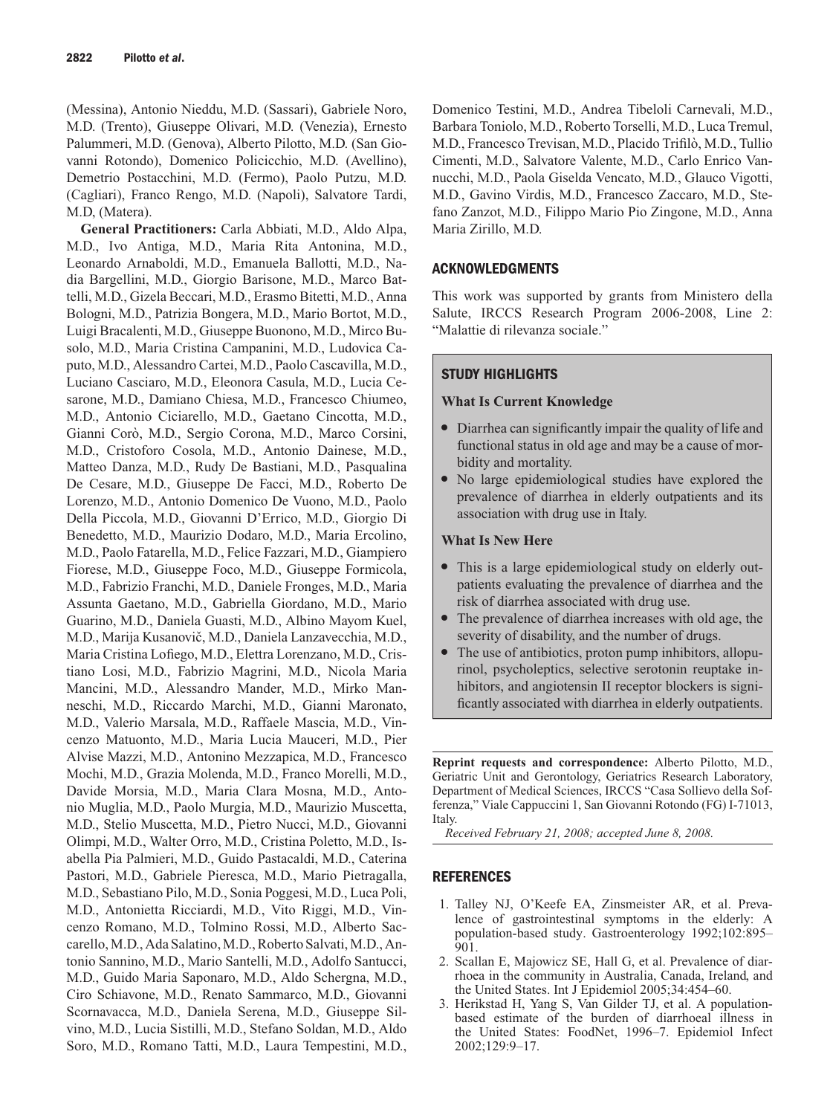(Messina), Antonio Nieddu, M.D. (Sassari), Gabriele Noro, M.D. (Trento), Giuseppe Olivari, M.D. (Venezia), Ernesto Palummeri, M.D. (Genova), Alberto Pilotto, M.D. (San Giovanni Rotondo), Domenico Policicchio, M.D. (Avellino), Demetrio Postacchini, M.D. (Fermo), Paolo Putzu, M.D. (Cagliari), Franco Rengo, M.D. (Napoli), Salvatore Tardi, M.D, (Matera).

**General Practitioners:** Carla Abbiati, M.D., Aldo Alpa, M.D., Ivo Antiga, M.D., Maria Rita Antonina, M.D., Leonardo Arnaboldi, M.D., Emanuela Ballotti, M.D., Nadia Bargellini, M.D., Giorgio Barisone, M.D., Marco Battelli, M.D., Gizela Beccari, M.D., Erasmo Bitetti, M.D., Anna Bologni, M.D., Patrizia Bongera, M.D., Mario Bortot, M.D., Luigi Bracalenti, M.D., Giuseppe Buonono, M.D., Mirco Busolo, M.D., Maria Cristina Campanini, M.D., Ludovica Caputo, M.D., Alessandro Cartei, M.D., Paolo Cascavilla, M.D., Luciano Casciaro, M.D., Eleonora Casula, M.D., Lucia Cesarone, M.D., Damiano Chiesa, M.D., Francesco Chiumeo, M.D., Antonio Ciciarello, M.D., Gaetano Cincotta, M.D., Gianni Corò, M.D., Sergio Corona, M.D., Marco Corsini, M.D., Cristoforo Cosola, M.D., Antonio Dainese, M.D., Matteo Danza, M.D., Rudy De Bastiani, M.D., Pasqualina De Cesare, M.D., Giuseppe De Facci, M.D., Roberto De Lorenzo, M.D., Antonio Domenico De Vuono, M.D., Paolo Della Piccola, M.D., Giovanni D'Errico, M.D., Giorgio Di Benedetto, M.D., Maurizio Dodaro, M.D., Maria Ercolino, M.D., Paolo Fatarella, M.D., Felice Fazzari, M.D., Giampiero Fiorese, M.D., Giuseppe Foco, M.D., Giuseppe Formicola, M.D., Fabrizio Franchi, M.D., Daniele Fronges, M.D., Maria Assunta Gaetano, M.D., Gabriella Giordano, M.D., Mario Guarino, M.D., Daniela Guasti, M.D., Albino Mayom Kuel, M.D., Marija Kusanovič, M.D., Daniela Lanzavecchia, M.D., Maria Cristina Lofiego, M.D., Elettra Lorenzano, M.D., Cristiano Losi, M.D., Fabrizio Magrini, M.D., Nicola Maria Mancini, M.D., Alessandro Mander, M.D., Mirko Manneschi, M.D., Riccardo Marchi, M.D., Gianni Maronato, M.D., Valerio Marsala, M.D., Raffaele Mascia, M.D., Vincenzo Matuonto, M.D., Maria Lucia Mauceri, M.D., Pier Alvise Mazzi, M.D., Antonino Mezzapica, M.D., Francesco Mochi, M.D., Grazia Molenda, M.D., Franco Morelli, M.D., Davide Morsia, M.D., Maria Clara Mosna, M.D., Antonio Muglia, M.D., Paolo Murgia, M.D., Maurizio Muscetta, M.D., Stelio Muscetta, M.D., Pietro Nucci, M.D., Giovanni Olimpi, M.D., Walter Orro, M.D., Cristina Poletto, M.D., Isabella Pia Palmieri, M.D., Guido Pastacaldi, M.D., Caterina Pastori, M.D., Gabriele Pieresca, M.D., Mario Pietragalla, M.D., Sebastiano Pilo, M.D., Sonia Poggesi, M.D., Luca Poli, M.D., Antonietta Ricciardi, M.D., Vito Riggi, M.D., Vincenzo Romano, M.D., Tolmino Rossi, M.D., Alberto Saccarello, M.D., Ada Salatino, M.D., Roberto Salvati, M.D., Antonio Sannino, M.D., Mario Santelli, M.D., Adolfo Santucci, M.D., Guido Maria Saponaro, M.D., Aldo Schergna, M.D., Ciro Schiavone, M.D., Renato Sammarco, M.D., Giovanni Scornavacca, M.D., Daniela Serena, M.D., Giuseppe Silvino, M.D., Lucia Sistilli, M.D., Stefano Soldan, M.D., Aldo Soro, M.D., Romano Tatti, M.D., Laura Tempestini, M.D., Domenico Testini, M.D., Andrea Tibeloli Carnevali, M.D., Barbara Toniolo, M.D., Roberto Torselli, M.D., Luca Tremul, M.D., Francesco Trevisan, M.D., Placido Trifilò, M.D., Tullio Cimenti, M.D., Salvatore Valente, M.D., Carlo Enrico Vannucchi, M.D., Paola Giselda Vencato, M.D., Glauco Vigotti, M.D., Gavino Virdis, M.D., Francesco Zaccaro, M.D., Stefano Zanzot, M.D., Filippo Mario Pio Zingone, M.D., Anna Maria Zirillo, M.D.

## **ACKNOWLEDGMENTS**

This work was supported by grants from Ministero della Salute, IRCCS Research Program 2006-2008, Line 2: "Malattie di rilevanza sociale."

# **STUDY HIGHLIGHTS**

## **What Is Current Knowledge**

- Diarrhea can significantly impair the quality of life and functional status in old age and may be a cause of mor-
- bidity and mortality.<br>
No large epidemiological studies have explored the prevalence of diarrhea in elderly outpatients and its association with drug use in Italy.

## **What Is New Here**

- This is a large epidemiological study on elderly outpatients evaluating the prevalence of diarrhea and the
- risk of diarrhea associated with drug use.<br>
The prevalence of diarrhea increases with old age, the severity of disability, and the number of drugs.
- $\bullet$  The use of antibiotics, proton pump inhibitors, allopurinol, psycholeptics, selective serotonin reuptake inhibitors, and angiotensin II receptor blockers is significantly associated with diarrhea in elderly outpatients.

**Reprint requests and correspondence:** Alberto Pilotto, M.D., Geriatric Unit and Gerontology, Geriatrics Research Laboratory, Department of Medical Sciences, IRCCS "Casa Sollievo della Sofferenza," Viale Cappuccini 1, San Giovanni Rotondo (FG) I-71013, Italy.

*Received February 21, 2008; accepted June 8, 2008.*

## **REFERENCES**

- 1. Talley NJ, O'Keefe EA, Zinsmeister AR, et al. Prevalence of gastrointestinal symptoms in the elderly: A population-based study. Gastroenterology 1992;102:895– 901.
- 2. Scallan E, Majowicz SE, Hall G, et al. Prevalence of diarrhoea in the community in Australia, Canada, Ireland, and the United States. Int J Epidemiol 2005;34:454–60.
- 3. Herikstad H, Yang S, Van Gilder TJ, et al. A populationbased estimate of the burden of diarrhoeal illness in the United States: FoodNet, 1996–7. Epidemiol Infect 2002;129:9–17.